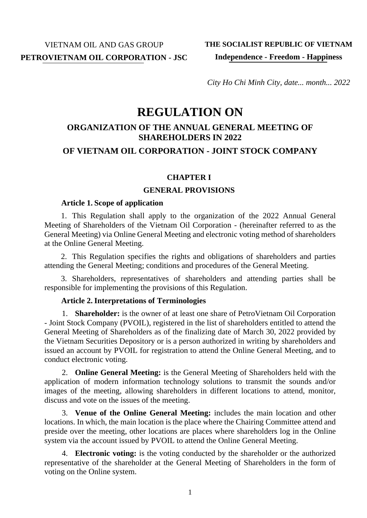*City Ho Chi Minh City, date... month... 2022*

# **REGULATION ON**

## **ORGANIZATION OF THE ANNUAL GENERAL MEETING OF SHAREHOLDERS IN 2022**

## **OF VIETNAM OIL CORPORATION - JOINT STOCK COMPANY**

#### **CHAPTER I**

#### **GENERAL PROVISIONS**

#### **Article 1. Scope of application**

1. This Regulation shall apply to the organization of the 2022 Annual General Meeting of Shareholders of the Vietnam Oil Corporation - (hereinafter referred to as the General Meeting) via Online General Meeting and electronic voting method of shareholders at the Online General Meeting.

2. This Regulation specifies the rights and obligations of shareholders and parties attending the General Meeting; conditions and procedures of the General Meeting.

3. Shareholders, representatives of shareholders and attending parties shall be responsible for implementing the provisions of this Regulation.

#### **Article 2.Interpretations of Terminologies**

1. **Shareholder:** is the owner of at least one share of PetroVietnam Oil Corporation - Joint Stock Company (PVOIL), registered in the list of shareholders entitled to attend the General Meeting of Shareholders as of the finalizing date of March 30, 2022 provided by the Vietnam Securities Depository or is a person authorized in writing by shareholders and issued an account by PVOIL for registration to attend the Online General Meeting, and to conduct electronic voting.

2. **Online General Meeting:** is the General Meeting of Shareholders held with the application of modern information technology solutions to transmit the sounds and/or images of the meeting, allowing shareholders in different locations to attend, monitor, discuss and vote on the issues of the meeting.

3. **Venue of the Online General Meeting:** includes the main location and other locations. In which, the main location is the place where the Chairing Committee attend and preside over the meeting, other locations are places where shareholders log in the Online system via the account issued by PVOIL to attend the Online General Meeting.

4. **Electronic voting:** is the voting conducted by the shareholder or the authorized representative of the shareholder at the General Meeting of Shareholders in the form of voting on the Online system.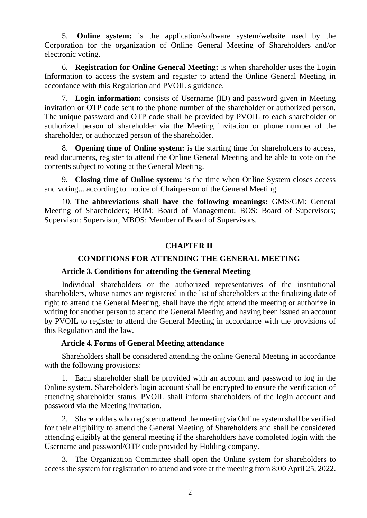5. **Online system:** is the application/software system/website used by the Corporation for the organization of Online General Meeting of Shareholders and/or electronic voting.

6. **Registration for Online General Meeting:** is when shareholder uses the Login Information to access the system and register to attend the Online General Meeting in accordance with this Regulation and PVOIL's guidance.

7. **Login information:** consists of Username (ID) and password given in Meeting invitation or OTP code sent to the phone number of the shareholder or authorized person. The unique password and OTP code shall be provided by PVOIL to each shareholder or authorized person of shareholder via the Meeting invitation or phone number of the shareholder, or authorized person of the shareholder.

8. **Opening time of Online system:** is the starting time for shareholders to access, read documents, register to attend the Online General Meeting and be able to vote on the contents subject to voting at the General Meeting.

9. **Closing time of Online system:** is the time when Online System closes access and voting... according to notice of Chairperson of the General Meeting.

10. **The abbreviations shall have the following meanings:** GMS/GM: General Meeting of Shareholders; BOM: Board of Management; BOS: Board of Supervisors; Supervisor: Supervisor, MBOS: Member of Board of Supervisors.

#### **CHAPTER II**

#### **CONDITIONS FOR ATTENDING THE GENERAL MEETING**

#### **Article 3. Conditions for attending the General Meeting**

Individual shareholders or the authorized representatives of the institutional shareholders, whose names are registered in the list of shareholders at the finalizing date of right to attend the General Meeting, shall have the right attend the meeting or authorize in writing for another person to attend the General Meeting and having been issued an account by PVOIL to register to attend the General Meeting in accordance with the provisions of this Regulation and the law.

#### **Article 4. Forms of General Meeting attendance**

Shareholders shall be considered attending the online General Meeting in accordance with the following provisions:

1. Each shareholder shall be provided with an account and password to log in the Online system. Shareholder's login account shall be encrypted to ensure the verification of attending shareholder status. PVOIL shall inform shareholders of the login account and password via the Meeting invitation.

2. Shareholders who register to attend the meeting via Online system shall be verified for their eligibility to attend the General Meeting of Shareholders and shall be considered attending eligibly at the general meeting if the shareholders have completed login with the Username and password/OTP code provided by Holding company.

3. The Organization Committee shall open the Online system for shareholders to access the system for registration to attend and vote at the meeting from 8:00 April 25, 2022.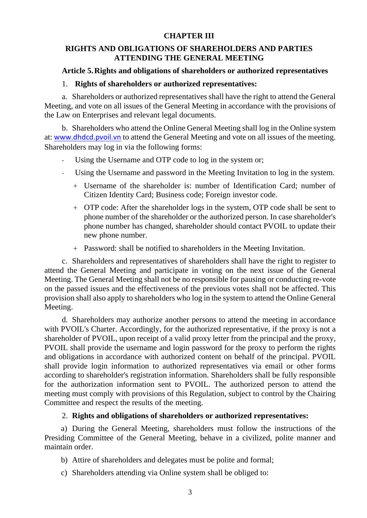## **CHAPTER III**

## **RIGHTS AND OBLIGATIONS OF SHAREHOLDERS AND PARTIES ATTENDING THE GENERAL MEETING**

## **Article 5.Rights and obligations of shareholders or authorized representatives**

## 1. **Rights of shareholders or authorized representatives:**

a. Shareholders or authorized representatives shall have the right to attend the General Meeting, and vote on all issues of the General Meeting in accordance with the provisions of the Law on Enterprises and relevant legal documents.

b. Shareholders who attend the Online General Meeting shall log in the Online system at: [www.dhdcd.pvoil.vn](http://www.dhdcd.pvoil.vn/) to attend the General Meeting and vote on all issues of the meeting. Shareholders may log in via the following forms:

- Using the Username and OTP code to log in the system or;
- Using the Username and password in the Meeting Invitation to log in the system.
	- + Username of the shareholder is: number of Identification Card; number of Citizen Identity Card; Business code; Foreign investor code.
	- + OTP code: After the shareholder logs in the system, OTP code shall be sent to phone number of the shareholder or the authorized person. In case shareholder's phone number has changed, shareholder should contact PVOIL to update their new phone number.
	- + Password: shall be notified to shareholders in the Meeting Invitation.

c. Shareholders and representatives of shareholders shall have the right to register to attend the General Meeting and participate in voting on the next issue of the General Meeting. The General Meeting shall not be no responsible for pausing or conducting re-vote on the passed issues and the effectiveness of the previous votes shall not be affected. This provision shall also apply to shareholders who log in the system to attend the Online General Meeting.

d. Shareholders may authorize another persons to attend the meeting in accordance with PVOIL's Charter. Accordingly, for the authorized representative, if the proxy is not a shareholder of PVOIL, upon receipt of a valid proxy letter from the principal and the proxy, PVOIL shall provide the username and login password for the proxy to perform the rights and obligations in accordance with authorized content on behalf of the principal. PVOIL shall provide login information to authorized representatives via email or other forms according to shareholder's registration information. Shareholders shall be fully responsible for the authorization information sent to PVOIL. The authorized person to attend the meeting must comply with provisions of this Regulation, subject to control by the Chairing Committee and respect the results of the meeting.

## 2. **Rights and obligations of shareholders or authorized representatives:**

a) During the General Meeting, shareholders must follow the instructions of the Presiding Committee of the General Meeting, behave in a civilized, polite manner and maintain order.

b) Attire of shareholders and delegates must be polite and formal;

c) Shareholders attending via Online system shall be obliged to: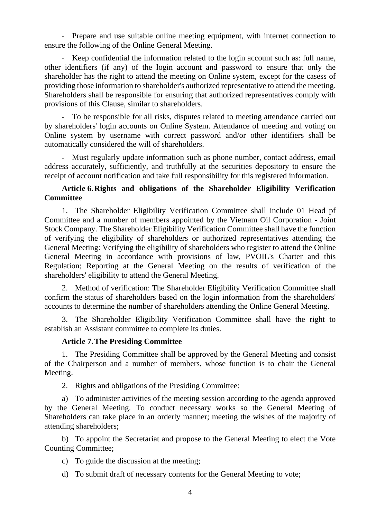Prepare and use suitable online meeting equipment, with internet connection to ensure the following of the Online General Meeting.

Keep confidential the information related to the login account such as: full name, other identifiers (if any) of the login account and password to ensure that only the shareholder has the right to attend the meeting on Online system, except for the casess of providing those information to shareholder's authorized representative to attend the meeting. Shareholders shall be responsible for ensuring that authorized representatives comply with provisions of this Clause, similar to shareholders.

To be responsible for all risks, disputes related to meeting attendance carried out by shareholders' login accounts on Online System. Attendance of meeting and voting on Online system by username with correct password and/or other identifiers shall be automatically considered the will of shareholders.

- Must regularly update information such as phone number, contact address, email address accurately, sufficiently, and truthfully at the securities depository to ensure the receipt of account notification and take full responsibility for this registered information.

## **Article 6.Rights and obligations of the Shareholder Eligibility Verification Committee**

1. The Shareholder Eligibility Verification Committee shall include 01 Head pf Committee and a number of members appointed by the Vietnam Oil Corporation - Joint Stock Company. The Shareholder Eligibility Verification Committee shall have the function of verifying the eligibility of shareholders or authorized representatives attending the General Meeting: Verifying the eligibility of shareholders who register to attend the Online General Meeting in accordance with provisions of law, PVOIL's Charter and this Regulation; Reporting at the General Meeting on the results of verification of the shareholders' eligibility to attend the General Meeting.

2. Method of verification: The Shareholder Eligibility Verification Committee shall confirm the status of shareholders based on the login information from the shareholders' accounts to determine the number of shareholders attending the Online General Meeting.

3. The Shareholder Eligibility Verification Committee shall have the right to establish an Assistant committee to complete its duties.

#### **Article 7.The Presiding Committee**

1. The Presiding Committee shall be approved by the General Meeting and consist of the Chairperson and a number of members, whose function is to chair the General Meeting.

2. Rights and obligations of the Presiding Committee:

a) To administer activities of the meeting session according to the agenda approved by the General Meeting. To conduct necessary works so the General Meeting of Shareholders can take place in an orderly manner; meeting the wishes of the majority of attending shareholders;

b) To appoint the Secretariat and propose to the General Meeting to elect the Vote Counting Committee;

c) To guide the discussion at the meeting;

d) To submit draft of necessary contents for the General Meeting to vote;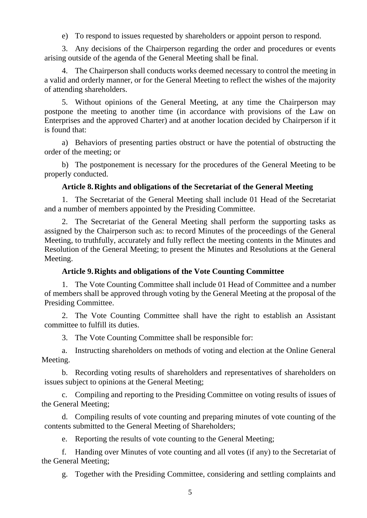e) To respond to issues requested by shareholders or appoint person to respond.

3. Any decisions of the Chairperson regarding the order and procedures or events arising outside of the agenda of the General Meeting shall be final.

4. The Chairperson shall conducts works deemed necessary to control the meeting in a valid and orderly manner, or for the General Meeting to reflect the wishes of the majority of attending shareholders.

5. Without opinions of the General Meeting, at any time the Chairperson may postpone the meeting to another time (in accordance with provisions of the Law on Enterprises and the approved Charter) and at another location decided by Chairperson if it is found that:

a) Behaviors of presenting parties obstruct or have the potential of obstructing the order of the meeting; or

b) The postponement is necessary for the procedures of the General Meeting to be properly conducted.

#### **Article 8.Rights and obligations of the Secretariat of the General Meeting**

1. The Secretariat of the General Meeting shall include 01 Head of the Secretariat and a number of members appointed by the Presiding Committee.

2. The Secretariat of the General Meeting shall perform the supporting tasks as assigned by the Chairperson such as: to record Minutes of the proceedings of the General Meeting, to truthfully, accurately and fully reflect the meeting contents in the Minutes and Resolution of the General Meeting; to present the Minutes and Resolutions at the General Meeting.

#### **Article 9.Rights and obligations of the Vote Counting Committee**

1. The Vote Counting Committee shall include 01 Head of Committee and a number of members shall be approved through voting by the General Meeting at the proposal of the Presiding Committee.

2. The Vote Counting Committee shall have the right to establish an Assistant committee to fulfill its duties.

3. The Vote Counting Committee shall be responsible for:

a. Instructing shareholders on methods of voting and election at the Online General Meeting.

b. Recording voting results of shareholders and representatives of shareholders on issues subject to opinions at the General Meeting;

c. Compiling and reporting to the Presiding Committee on voting results of issues of the General Meeting;

d. Compiling results of vote counting and preparing minutes of vote counting of the contents submitted to the General Meeting of Shareholders;

e. Reporting the results of vote counting to the General Meeting;

f. Handing over Minutes of vote counting and all votes (if any) to the Secretariat of the General Meeting;

g. Together with the Presiding Committee, considering and settling complaints and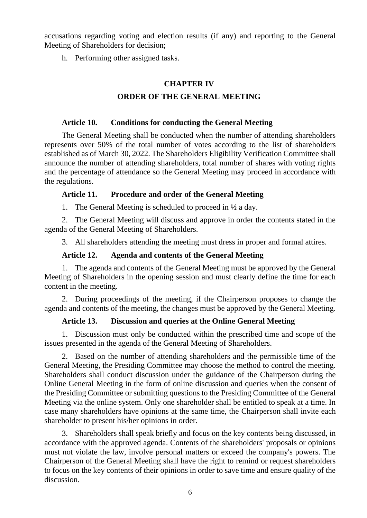accusations regarding voting and election results (if any) and reporting to the General Meeting of Shareholders for decision;

h. Performing other assigned tasks.

## **CHAPTER IV**

## **ORDER OF THE GENERAL MEETING**

#### **Article 10. Conditions for conducting the General Meeting**

The General Meeting shall be conducted when the number of attending shareholders represents over 50% of the total number of votes according to the list of shareholders established as of March 30, 2022. The Shareholders Eligibility Verification Committee shall announce the number of attending shareholders, total number of shares with voting rights and the percentage of attendance so the General Meeting may proceed in accordance with the regulations.

#### **Article 11. Procedure and order of the General Meeting**

1. The General Meeting is scheduled to proceed in **½** a day.

2. The General Meeting will discuss and approve in order the contents stated in the agenda of the General Meeting of Shareholders.

3. All shareholders attending the meeting must dress in proper and formal attires.

#### **Article 12. Agenda and contents of the General Meeting**

1. The agenda and contents of the General Meeting must be approved by the General Meeting of Shareholders in the opening session and must clearly define the time for each content in the meeting.

2. During proceedings of the meeting, if the Chairperson proposes to change the agenda and contents of the meeting, the changes must be approved by the General Meeting.

#### **Article 13. Discussion and queries at the Online General Meeting**

1. Discussion must only be conducted within the prescribed time and scope of the issues presented in the agenda of the General Meeting of Shareholders.

2. Based on the number of attending shareholders and the permissible time of the General Meeting, the Presiding Committee may choose the method to control the meeting. Shareholders shall conduct discussion under the guidance of the Chairperson during the Online General Meeting in the form of online discussion and queries when the consent of the Presiding Committee or submitting questions to the Presiding Committee of the General Meeting via the online system. Only one shareholder shall be entitled to speak at a time. In case many shareholders have opinions at the same time, the Chairperson shall invite each shareholder to present his/her opinions in order.

3. Shareholders shall speak briefly and focus on the key contents being discussed, in accordance with the approved agenda. Contents of the shareholders' proposals or opinions must not violate the law, involve personal matters or exceed the company's powers. The Chairperson of the General Meeting shall have the right to remind or request shareholders to focus on the key contents of their opinions in order to save time and ensure quality of the discussion.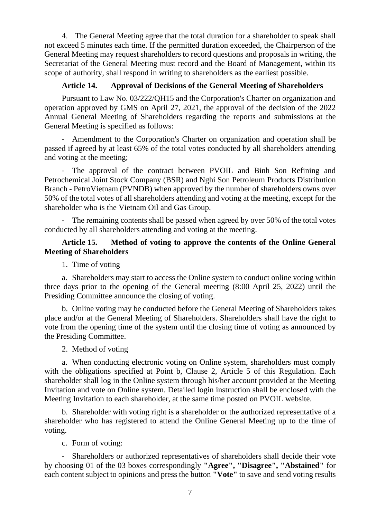4. The General Meeting agree that the total duration for a shareholder to speak shall not exceed 5 minutes each time. If the permitted duration exceeded, the Chairperson of the General Meeting may request shareholders to record questions and proposals in writing, the Secretariat of the General Meeting must record and the Board of Management, within its scope of authority, shall respond in writing to shareholders as the earliest possible.

## **Article 14. Approval of Decisions of the General Meeting of Shareholders**

Pursuant to Law No. 03/222/QH15 and the Corporation's Charter on organization and operation approved by GMS on April 27, 2021, the approval of the decision of the 2022 Annual General Meeting of Shareholders regarding the reports and submissions at the General Meeting is specified as follows:

- Amendment to the Corporation's Charter on organization and operation shall be passed if agreed by at least 65% of the total votes conducted by all shareholders attending and voting at the meeting;

- The approval of the contract between PVOIL and Binh Son Refining and Petrochemical Joint Stock Company (BSR) and Nghi Son Petroleum Products Distribution Branch - PetroVietnam (PVNDB) when approved by the number of shareholders owns over 50% of the total votes of all shareholders attending and voting at the meeting, except for the shareholder who is the Vietnam Oil and Gas Group.

- The remaining contents shall be passed when agreed by over 50% of the total votes conducted by all shareholders attending and voting at the meeting.

### **Article 15. Method of voting to approve the contents of the Online General Meeting of Shareholders**

1. Time of voting

a. Shareholders may start to access the Online system to conduct online voting within three days prior to the opening of the General meeting (8:00 April 25, 2022) until the Presiding Committee announce the closing of voting.

b. Online voting may be conducted before the General Meeting of Shareholders takes place and/or at the General Meeting of Shareholders. Shareholders shall have the right to vote from the opening time of the system until the closing time of voting as announced by the Presiding Committee.

2. Method of voting

a. When conducting electronic voting on Online system, shareholders must comply with the obligations specified at Point b, Clause 2, Article 5 of this Regulation. Each shareholder shall log in the Online system through his/her account provided at the Meeting Invitation and vote on Online system. Detailed login instruction shall be enclosed with the Meeting Invitation to each shareholder, at the same time posted on PVOIL website.

b. Shareholder with voting right is a shareholder or the authorized representative of a shareholder who has registered to attend the Online General Meeting up to the time of voting.

c. Form of voting:

- Shareholders or authorized representatives of shareholders shall decide their vote by choosing 01 of the 03 boxes correspondingly **"Agree", "Disagree", "Abstained"** for each content subject to opinions and press the button **"Vote"** to save and send voting results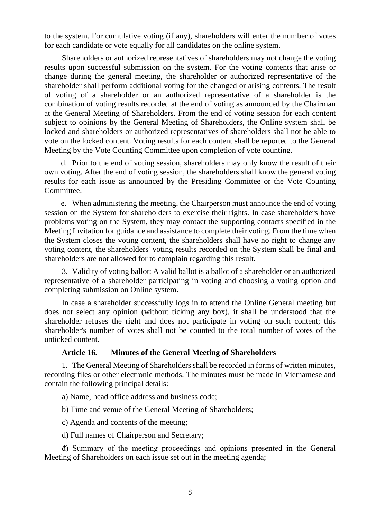to the system. For cumulative voting (if any), shareholders will enter the number of votes for each candidate or vote equally for all candidates on the online system.

Shareholders or authorized representatives of shareholders may not change the voting results upon successful submission on the system. For the voting contents that arise or change during the general meeting, the shareholder or authorized representative of the shareholder shall perform additional voting for the changed or arising contents. The result of voting of a shareholder or an authorized representative of a shareholder is the combination of voting results recorded at the end of voting as announced by the Chairman at the General Meeting of Shareholders. From the end of voting session for each content subject to opinions by the General Meeting of Shareholders, the Online system shall be locked and shareholders or authorized representatives of shareholders shall not be able to vote on the locked content. Voting results for each content shall be reported to the General Meeting by the Vote Counting Committee upon completion of vote counting.

d. Prior to the end of voting session, shareholders may only know the result of their own voting. After the end of voting session, the shareholders shall know the general voting results for each issue as announced by the Presiding Committee or the Vote Counting Committee.

e. When administering the meeting, the Chairperson must announce the end of voting session on the System for shareholders to exercise their rights. In case shareholders have problems voting on the System, they may contact the supporting contacts specified in the Meeting Invitation for guidance and assistance to complete their voting. From the time when the System closes the voting content, the shareholders shall have no right to change any voting content, the shareholders' voting results recorded on the System shall be final and shareholders are not allowed for to complain regarding this result.

3. Validity of voting ballot: A valid ballot is a ballot of a shareholder or an authorized representative of a shareholder participating in voting and choosing a voting option and completing submission on Online system.

In case a shareholder successfully logs in to attend the Online General meeting but does not select any opinion (without ticking any box), it shall be understood that the shareholder refuses the right and does not participate in voting on such content; this shareholder's number of votes shall not be counted to the total number of votes of the unticked content.

#### **Article 16. Minutes of the General Meeting of Shareholders**

1. The General Meeting of Shareholders shall be recorded in forms of written minutes, recording files or other electronic methods. The minutes must be made in Vietnamese and contain the following principal details:

a) Name, head office address and business code;

b) Time and venue of the General Meeting of Shareholders;

c) Agenda and contents of the meeting;

d) Full names of Chairperson and Secretary;

đ) Summary of the meeting proceedings and opinions presented in the General Meeting of Shareholders on each issue set out in the meeting agenda;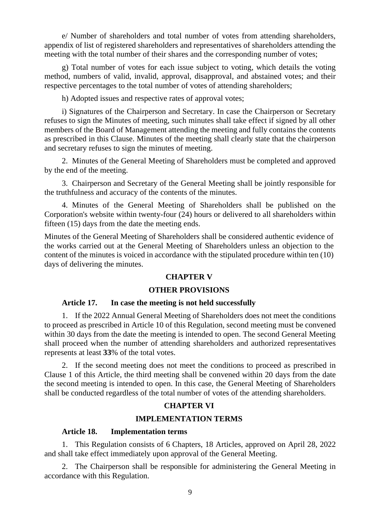e/ Number of shareholders and total number of votes from attending shareholders, appendix of list of registered shareholders and representatives of shareholders attending the meeting with the total number of their shares and the corresponding number of votes;

g) Total number of votes for each issue subject to voting, which details the voting method, numbers of valid, invalid, approval, disapproval, and abstained votes; and their respective percentages to the total number of votes of attending shareholders;

h) Adopted issues and respective rates of approval votes;

i) Signatures of the Chairperson and Secretary. In case the Chairperson or Secretary refuses to sign the Minutes of meeting, such minutes shall take effect if signed by all other members of the Board of Management attending the meeting and fully contains the contents as prescribed in this Clause. Minutes of the meeting shall clearly state that the chairperson and secretary refuses to sign the minutes of meeting.

2. Minutes of the General Meeting of Shareholders must be completed and approved by the end of the meeting.

3. Chairperson and Secretary of the General Meeting shall be jointly responsible for the truthfulness and accuracy of the contents of the minutes.

4. Minutes of the General Meeting of Shareholders shall be published on the Corporation's website within twenty-four (24) hours or delivered to all shareholders within fifteen (15) days from the date the meeting ends.

Minutes of the General Meeting of Shareholders shall be considered authentic evidence of the works carried out at the General Meeting of Shareholders unless an objection to the content of the minutes is voiced in accordance with the stipulated procedure within ten (10) days of delivering the minutes.

## **CHAPTER V**

## **OTHER PROVISIONS**

## **Article 17. In case the meeting is not held successfully**

1. If the 2022 Annual General Meeting of Shareholders does not meet the conditions to proceed as prescribed in Article 10 of this Regulation, second meeting must be convened within 30 days from the date the meeting is intended to open. The second General Meeting shall proceed when the number of attending shareholders and authorized representatives represents at least **33**% of the total votes.

2. If the second meeting does not meet the conditions to proceed as prescribed in Clause 1 of this Article, the third meeting shall be convened within 20 days from the date the second meeting is intended to open. In this case, the General Meeting of Shareholders shall be conducted regardless of the total number of votes of the attending shareholders.

## **CHAPTER VI**

#### **IMPLEMENTATION TERMS**

#### **Article 18. Implementation terms**

1. This Regulation consists of 6 Chapters, 18 Articles, approved on April 28, 2022 and shall take effect immediately upon approval of the General Meeting.

2. The Chairperson shall be responsible for administering the General Meeting in accordance with this Regulation.